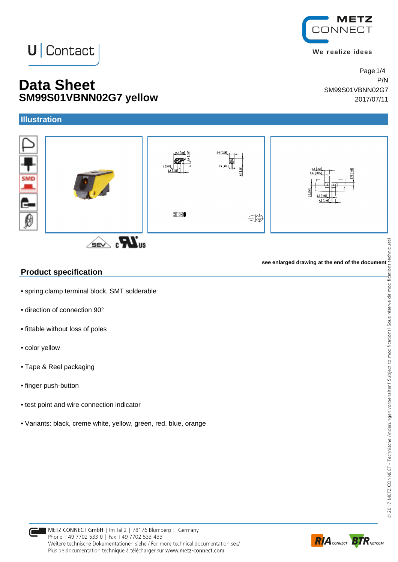## METZ **JNNECT**

We realize ideas

Page 1/4

SM99S01VBNN02G7

# $\bigcup$  Contact

### **Data Sheet** P<sup>*NN*</sup> **SM99S01VBNN02G7 yellow** 2017/07/11

#### **Illustration**



### **Product specification**

- spring clamp terminal block, SMT solderable
- direction of connection 90°
- fittable without loss of poles
- color yellow
- Tape & Reel packaging
- finger push-button
- test point and wire connection indicator
- Variants: black, creme white, yellow, green, red, blue, orange



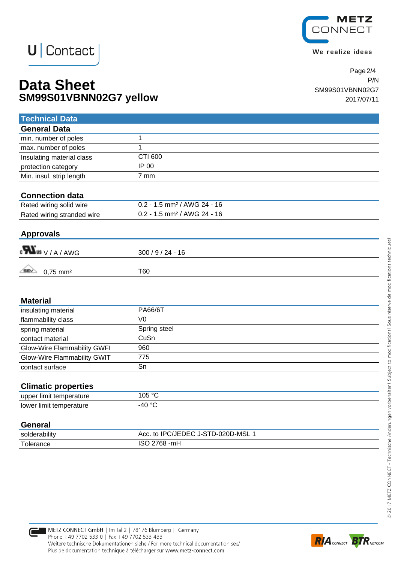

We realize ideas

# **U** Contact

### **Data Sheet** P/N **SM99S01VBNN02G7 yellow** 2017/07/11

Page 2/4 SM99S01VBNN02G7

| <b>Technical Data</b>                             |                                           |
|---------------------------------------------------|-------------------------------------------|
| <b>General Data</b>                               |                                           |
| min. number of poles                              | $\mathbf{1}$                              |
| max. number of poles                              | 1                                         |
| Insulating material class                         | CTI 600                                   |
| protection category                               | IP 00                                     |
| Min. insul. strip length                          | 7 mm                                      |
|                                                   |                                           |
| <b>Connection data</b><br>Rated wiring solid wire | $0.2 - 1.5$ mm <sup>2</sup> / AWG 24 - 16 |
|                                                   | 0.2 - 1.5 mm <sup>2</sup> / AWG 24 - 16   |
| Rated wiring stranded wire                        |                                           |
| <b>Approvals</b>                                  |                                           |
| $_{\rm c}\blacksquare$ us $_{\rm V/A}$ / AWG      | $300/9/24 - 16$                           |
| $0,75$ mm <sup>2</sup>                            | T60                                       |
|                                                   |                                           |
| <b>Material</b>                                   |                                           |
| insulating material                               | <b>PA66/6T</b>                            |
| flammability class                                | V <sub>0</sub>                            |
| spring material                                   | Spring steel                              |
| contact material                                  | CuSn                                      |
| Glow-Wire Flammability GWFI                       | 960                                       |
| Glow-Wire Flammability GWIT                       | 775                                       |
| contact surface                                   | Sn                                        |
|                                                   |                                           |
| <b>Climatic properties</b>                        | 105 °C                                    |
| upper limit temperature                           | $-40 °C$                                  |
| lower limit temperature                           |                                           |
| <b>General</b>                                    |                                           |
| solderability                                     | Acc. to IPC/JEDEC J-STD-020D-MSL 1        |
| Tolerance                                         | ISO 2768 - mH                             |
|                                                   |                                           |



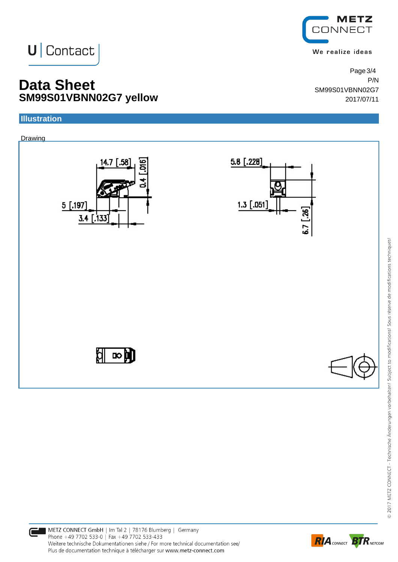

We realize ideas

SM99S01VBNN02G7

Page 3/4

**Data Sheet** P/N **SM99S01VBNN02G7 yellow** 2017/07/11

**U** Contact

#### **Illustration**

#### Drawing